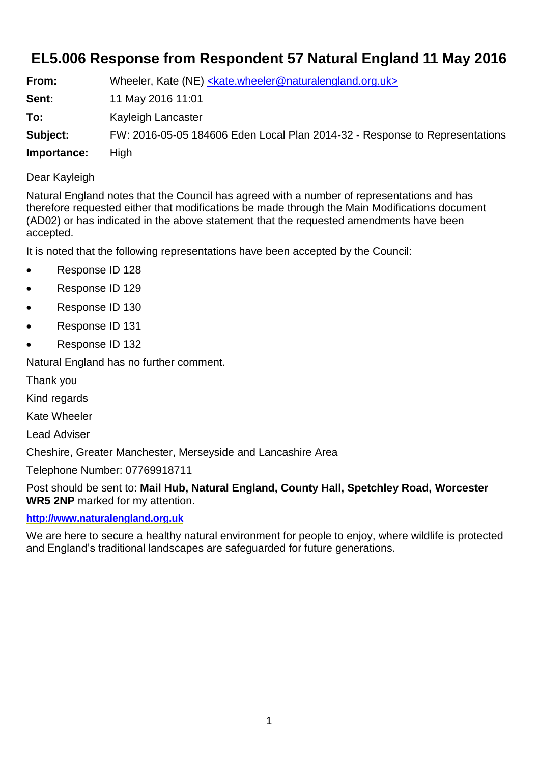## **EL5.006 Response from Respondent 57 Natural England 11 May 2016**

| From:       | Wheeler, Kate (NE) <kate.wheeler@naturalengland.org.uk></kate.wheeler@naturalengland.org.uk> |
|-------------|----------------------------------------------------------------------------------------------|
| Sent:       | 11 May 2016 11:01                                                                            |
| To:         | Kayleigh Lancaster                                                                           |
| Subject:    | FW: 2016-05-05 184606 Eden Local Plan 2014-32 - Response to Representations                  |
| Importance: | <b>High</b>                                                                                  |

## Dear Kayleigh

Natural England notes that the Council has agreed with a number of representations and has therefore requested either that modifications be made through the Main Modifications document (AD02) or has indicated in the above statement that the requested amendments have been accepted.

It is noted that the following representations have been accepted by the Council:

- Response ID 128
- Response ID 129
- Response ID 130
- Response ID 131
- Response ID 132

Natural England has no further comment.

Thank you

Kind regards

Kate Wheeler

Lead Adviser

Cheshire, Greater Manchester, Merseyside and Lancashire Area

Telephone Number: 07769918711

Post should be sent to: **Mail Hub, Natural England, County Hall, Spetchley Road, Worcester WR5 2NP** marked for my attention.

## **[http://www.naturalengland.org.uk](http://www.naturalengland.org.uk/)**

We are here to secure a healthy natural environment for people to enjoy, where wildlife is protected and England's traditional landscapes are safeguarded for future generations.